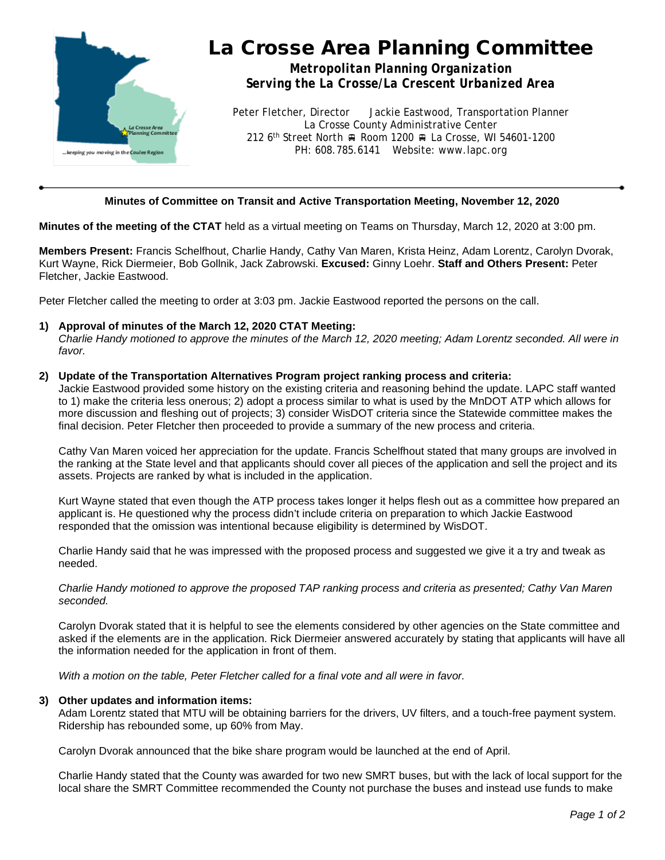

# La Crosse Area Planning Committee

*Metropolitan Planning Organization Serving the La Crosse/La Crescent Urbanized Area*

Peter Fletcher, Director Jackie Eastwood, Transportation Planner La Crosse County Administrative Center 212 6<sup>th</sup> Street North A Room 1200 A La Crosse, WI 54601-1200 PH: 608.785.6141 Website: www.lapc.org

# **Minutes of Committee on Transit and Active Transportation Meeting, November 12, 2020**

**Minutes of the meeting of the CTAT** held as a virtual meeting on Teams on Thursday, March 12, 2020 at 3:00 pm.

**Members Present:** Francis Schelfhout, Charlie Handy, Cathy Van Maren, Krista Heinz, Adam Lorentz, Carolyn Dvorak, Kurt Wayne, Rick Diermeier, Bob Gollnik, Jack Zabrowski. **Excused:** Ginny Loehr. **Staff and Others Present:** Peter Fletcher, Jackie Eastwood.

Peter Fletcher called the meeting to order at 3:03 pm. Jackie Eastwood reported the persons on the call.

## **1) Approval of minutes of the March 12, 2020 CTAT Meeting:**

*Charlie Handy motioned to approve the minutes of the March 12, 2020 meeting; Adam Lorentz seconded. All were in favor.*

#### **2) Update of the Transportation Alternatives Program project ranking process and criteria:**

Jackie Eastwood provided some history on the existing criteria and reasoning behind the update. LAPC staff wanted to 1) make the criteria less onerous; 2) adopt a process similar to what is used by the MnDOT ATP which allows for more discussion and fleshing out of projects; 3) consider WisDOT criteria since the Statewide committee makes the final decision. Peter Fletcher then proceeded to provide a summary of the new process and criteria.

Cathy Van Maren voiced her appreciation for the update. Francis Schelfhout stated that many groups are involved in the ranking at the State level and that applicants should cover all pieces of the application and sell the project and its assets. Projects are ranked by what is included in the application.

Kurt Wayne stated that even though the ATP process takes longer it helps flesh out as a committee how prepared an applicant is. He questioned why the process didn't include criteria on preparation to which Jackie Eastwood responded that the omission was intentional because eligibility is determined by WisDOT.

Charlie Handy said that he was impressed with the proposed process and suggested we give it a try and tweak as needed.

*Charlie Handy motioned to approve the proposed TAP ranking process and criteria as presented; Cathy Van Maren seconded.*

Carolyn Dvorak stated that it is helpful to see the elements considered by other agencies on the State committee and asked if the elements are in the application. Rick Diermeier answered accurately by stating that applicants will have all the information needed for the application in front of them.

*With a motion on the table, Peter Fletcher called for a final vote and all were in favor.*

#### **3) Other updates and information items:**

Adam Lorentz stated that MTU will be obtaining barriers for the drivers, UV filters, and a touch-free payment system. Ridership has rebounded some, up 60% from May.

Carolyn Dvorak announced that the bike share program would be launched at the end of April.

Charlie Handy stated that the County was awarded for two new SMRT buses, but with the lack of local support for the local share the SMRT Committee recommended the County not purchase the buses and instead use funds to make